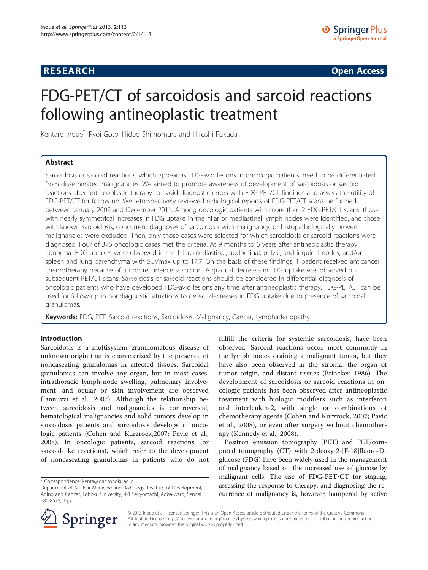# **RESEARCH CHINESE ARCH CHINESE ARCH CHINESE ARCH <b>CHINESE ARCH**

# FDG-PET/CT of sarcoidosis and sarcoid reactions following antineoplastic treatment

Kentaro Inoue\* , Ryoi Goto, Hideo Shimomura and Hiroshi Fukuda

# Abstract

Sarcoidosis or sarcoid reactions, which appear as FDG-avid lesions in oncologic patients, need to be differentiated from disseminated malignancies. We aimed to promote awareness of development of sarcoidosis or sarcoid reactions after antineoplastic therapy to avoid diagnostic errors with FDG-PET/CT findings and assess the utility of FDG-PET/CT for follow-up. We retrospectively reviewed radiological reports of FDG-PET/CT scans performed between January 2009 and December 2011. Among oncologic patients with more than 2 FDG-PET/CT scans, those with nearly symmetrical increases in FDG uptake in the hilar or mediastinal lymph nodes were identified, and those with known sarcoidosis, concurrent diagnoses of sarcoidosis with malignancy, or histopathologically proven malignancies were excluded. Then, only those cases were selected for which sarcoidosis or sarcoid reactions were diagnosed. Four of 376 oncologic cases met the criteria. At 9 months to 6 years after antineoplastic therapy, abnormal FDG uptakes were observed in the hilar, mediastinal, abdominal, pelvic, and inguinal nodes, and/or spleen and lung parenchyma with SUVmax up to 17.7. On the basis of these findings, 1 patient received anticancer chemotherapy because of tumor recurrence suspicion. A gradual decrease in FDG uptake was observed on subsequent PET/CT scans. Sarcoidosis or sarcoid reactions should be considered in differential diagnosis of oncologic patients who have developed FDG-avid lesions any time after antineoplastic therapy. FDG-PET/CT can be used for follow-up in nondiagnostic situations to detect decreases in FDG uptake due to presence of sarcoidal granulomas.

Keywords: FDG, PET, Sarcoid reactions, Sarcoidosis, Malignancy, Cancer, Lymphadenopathy

# Introduction

Sarcoidosis is a multisystem granulomatous disease of unknown origin that is characterized by the presence of noncaseating granulomas in affected tissues. Sarcoidal granulomas can involve any organ, but in most cases, intrathoracic lymph-node swelling, pulmonary involvement, and ocular or skin involvement are observed (Iannuzzi et al., [2007](#page-6-0)). Although the relationship between sarcoidosis and malignancies is controversial, hematological malignancies and solid tumors develop in sarcoidosis patients and sarcoidosis develops in oncologic patients (Cohen and Kurzrock,[2007](#page-6-0); Pavic et al., [2008](#page-6-0)). In oncologic patients, sarcoid reactions (or sarcoid-like reactions), which refer to the development of noncaseating granulomas in patients who do not fulfill the criteria for systemic sarcoidosis, have been observed. Sarcoid reactions occur most commonly in the lymph nodes draining a malignant tumor, but they have also been observed in the stroma, the organ of tumor origin, and distant tissues (Brincker, [1986\)](#page-6-0). The development of sarcoidosis or sarcoid reactions in oncologic patients has been observed after antineoplastic treatment with biologic modifiers such as interferon and interleukin-2, with single or combinations of chemotherapy agents (Cohen and Kurzrock, [2007;](#page-6-0) Pavic et al., [2008\)](#page-6-0), or even after surgery without chemotherapy (Kennedy et al., [2008\)](#page-6-0).

Positron emission tomography (PET) and PET/computed tomography (CT) with 2-deoxy-2-[F-18]fluoro-Dglucose (FDG) have been widely used in the management of malignancy based on the increased use of glucose by malignant cells. The use of FDG-PET/CT for staging, assessing the response to therapy, and diagnosing the recurrence of malignancy is, however, hampered by active



© 2013 Inoue et al.; licensee Springer. This is an Open Access article distributed under the terms of the Creative Commons Attribution License [\(http://creativecommons.org/licenses/by/2.0\)](http://creativecommons.org/licenses/by/2.0), which permits unrestricted use, distribution, and reproduction in any medium, provided the original work is properly cited.

<sup>\*</sup> Correspondence: [kenta@idac.tohoku.ac.jp](mailto:kenta@idac.tohoku.ac.jp)

Department of Nuclear Medicine and Radiology, Institute of Development, Aging and Cancer, Tohoku University, 4-1 Seiryomachi, Aoba-ward, Sendai 980-8575, Japan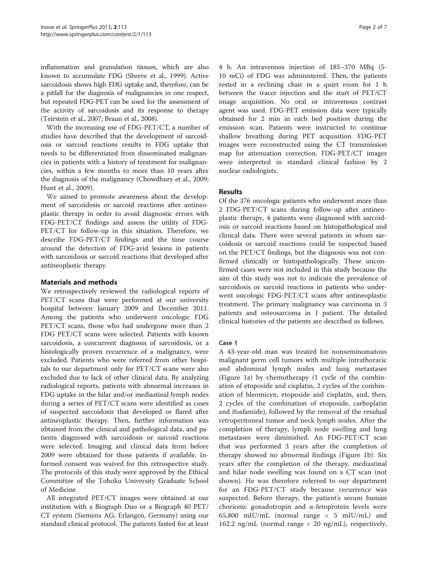inflammation and granulation tissues, which are also known to accumulate FDG (Shreve et al., [1999\)](#page-6-0). Active sarcoidosis shows high FDG uptake and, therefore, can be a pitfall for the diagnosis of malignancies in one respect, but repeated FDG-PET can be used for the assessment of the activity of sarcoidosis and its response to therapy (Teirstein et al., [2007](#page-6-0); Braun et al., [2008](#page-6-0)).

With the increasing use of FDG-PET/CT, a number of studies have described that the development of sarcoidosis or sarcoid reactions results in FDG uptake that needs to be differentiated from disseminated malignancies in patients with a history of treatment for malignancies, within a few months to more than 10 years after the diagnosis of the malignancy (Chowdhury et al., [2009](#page-6-0); Hunt et al., [2009](#page-6-0)).

We aimed to promote awareness about the development of sarcoidosis or sarcoid reactions after antineoplastic therapy in order to avoid diagnostic errors with FDG-PET/CT findings and assess the utility of FDG-PET/CT for follow-up in this situation. Therefore, we describe FDG-PET/CT findings and the time course around the detection of FDG-avid lesions in patients with sarcoidosis or sarcoid reactions that developed after antineoplastic therapy.

### Materials and methods

We retrospectively reviewed the radiological reports of PET/CT scans that were performed at our university hospital between January 2009 and December 2011. Among the patients who underwent oncologic FDG PET/CT scans, those who had undergone more than 2 FDG PET/CT scans were selected. Patients with known sarcoidosis, a concurrent diagnosis of sarcoidosis, or a histologically proven recurrence of a malignancy, were excluded. Patients who were referred from other hospitals to our department only for PET/CT scans were also excluded due to lack of other clinical data. By analyzing radiological reports, patients with abnormal increases in FDG uptake in the hilar and/or mediastinal lymph nodes during a series of PET/CT scans were identified as cases of suspected sarcoidosis that developed or flared after antineoplastic therapy. Then, further information was obtained from the clinical and pathological data, and patients diagnosed with sarcoidosis or sarcoid reactions were selected. Imaging and clinical data from before 2009 were obtained for those patients if available. Informed consent was waived for this retrospective study. The protocols of this study were approved by the Ethical Committee of the Tohoku University Graduate School of Medicine.

All integrated PET/CT images were obtained at our institution with a Biograph Duo or a Biograph 40 PET/ CT system (Siemens AG, Erlangen, Germany) using our standard clinical protocol. The patients fasted for at least

4 h. An intravenous injection of 185–370 MBq (5- 10 mCi) of FDG was administered. Then, the patients rested in a reclining chair in a quiet room for 1 h between the tracer injection and the start of PET/CT image acquisition. No oral or intravenous contrast agent was used. FDG-PET emission data were typically obtained for 2 min in each bed position during the emission scan. Patients were instructed to continue shallow breathing during PET acquisition. FDG-PET images were reconstructed using the CT transmission map for attenuation correction. FDG-PET/CT images were interpreted in standard clinical fashion by 2 nuclear radiologists.

# Results

Of the 376 oncologic patients who underwent more than 2 FDG-PET/CT scans during follow-up after antineoplastic therapy, 4 patients were diagnosed with sarcoidosis or sarcoid reactions based on histopathological and clinical data. There were several patients in whom sarcoidosis or sarcoid reactions could be suspected based on the PET/CT findings, but the diagnosis was not confirmed clinically or histopathologically. These unconfirmed cases were not included in this study because the aim of this study was not to indicate the prevalence of sarcoidosis or sarcoid reactions in patients who underwent oncologic FDG-PET/CT scans after antineoplastic treatment. The primary malignancy was carcinoma in 3 patients and osteosarcoma in 1 patient. The detailed clinical histories of the patients are described as follows.

#### Case 1

A 43-year-old man was treated for nonseminomatous malignant germ cell tumors with multiple intrathoracic and abdominal lymph nodes and lung metastases (Figure [1](#page-2-0)a) by chemotherapy (1 cycle of the combination of etoposide and cisplatin, 2 cycles of the combination of bleomicyn, etoposide and cisplatin, and, then, 2 cycles of the combination of etoposide, carboplatin and ifosfamide), followed by the removal of the residual retroperitoneal tumor and neck lymph nodes. After the completion of therapy, lymph node swelling and lung metastases were diminished. An FDG-PET/CT scan that was performed 3 years after the completion of therapy showed no abnormal findings (Figure [1](#page-2-0)b). Six years after the completion of the therapy, mediastinal and hilar node swelling was found on a CT scan (not shown). He was therefore referred to our department for an FDG-PET/CT study because recurrence was suspected. Before therapy, the patient's serum human chorionic gonadotropin and α-fetoprotein levels were 65,800 mIU/mL (normal range < 5 mIU/mL) and 162.2 ng/mL (normal range < 20 ng/mL), respectively,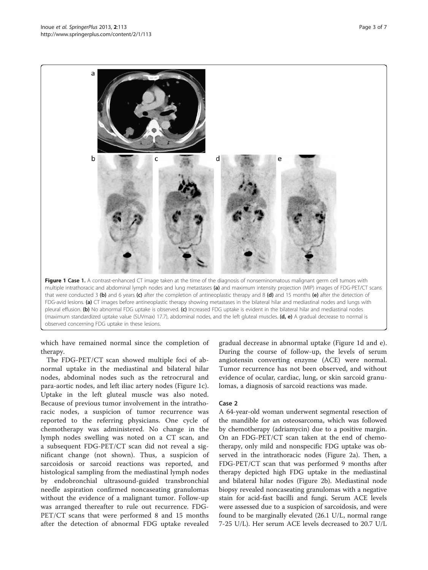<span id="page-2-0"></span>

which have remained normal since the completion of therapy.

The FDG-PET/CT scan showed multiple foci of abnormal uptake in the mediastinal and bilateral hilar nodes, abdominal nodes such as the retrocrural and para-aortic nodes, and left iliac artery nodes (Figure 1c). Uptake in the left gluteal muscle was also noted. Because of previous tumor involvement in the intrathoracic nodes, a suspicion of tumor recurrence was reported to the referring physicians. One cycle of chemotherapy was administered. No change in the lymph nodes swelling was noted on a CT scan, and a subsequent FDG-PET/CT scan did not reveal a significant change (not shown). Thus, a suspicion of sarcoidosis or sarcoid reactions was reported, and histological sampling from the mediastinal lymph nodes by endobronchial ultrasound-guided transbronchial needle aspiration confirmed noncaseating granulomas without the evidence of a malignant tumor. Follow-up was arranged thereafter to rule out recurrence. FDG-PET/CT scans that were performed 8 and 15 months after the detection of abnormal FDG uptake revealed

gradual decrease in abnormal uptake (Figure 1d and e). During the course of follow-up, the levels of serum angiotensin converting enzyme (ACE) were normal. Tumor recurrence has not been observed, and without evidence of ocular, cardiac, lung, or skin sarcoid granulomas, a diagnosis of sarcoid reactions was made.

#### Case 2

A 64-year-old woman underwent segmental resection of the mandible for an osteosarcoma, which was followed by chemotherapy (adriamycin) due to a positive margin. On an FDG-PET/CT scan taken at the end of chemotherapy, only mild and nonspecific FDG uptake was observed in the intrathoracic nodes (Figure [2](#page-3-0)a). Then, a FDG-PET/CT scan that was performed 9 months after therapy depicted high FDG uptake in the mediastinal and bilateral hilar nodes (Figure [2](#page-3-0)b). Mediastinal node biopsy revealed noncaseating granulomas with a negative stain for acid-fast bacilli and fungi. Serum ACE levels were assessed due to a suspicion of sarcoidosis, and were found to be marginally elevated (26.1 U/L, normal range 7-25 U/L). Her serum ACE levels decreased to 20.7 U/L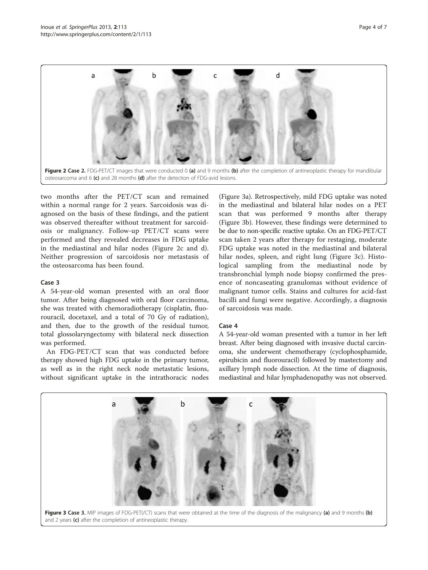<span id="page-3-0"></span>

two months after the PET/CT scan and remained within a normal range for 2 years. Sarcoidosis was diagnosed on the basis of these findings, and the patient was observed thereafter without treatment for sarcoidosis or malignancy. Follow-up PET/CT scans were performed and they revealed decreases in FDG uptake in the mediastinal and hilar nodes (Figure 2c and d). Neither progression of sarcoidosis nor metastasis of the osteosarcoma has been found.

#### Case 3

A 54-year-old woman presented with an oral floor tumor. After being diagnosed with oral floor carcinoma, she was treated with chemoradiotherapy (cisplatin, fluorouracil, docetaxel, and a total of 70 Gy of radiation), and then, due to the growth of the residual tumor, total glossolaryngectomy with bilateral neck dissection was performed.

An FDG-PET/CT scan that was conducted before therapy showed high FDG uptake in the primary tumor, as well as in the right neck node metastatic lesions, without significant uptake in the intrathoracic nodes

(Figure 3a). Retrospectively, mild FDG uptake was noted in the mediastinal and bilateral hilar nodes on a PET scan that was performed 9 months after therapy (Figure 3b). However, these findings were determined to be due to non-specific reactive uptake. On an FDG-PET/CT scan taken 2 years after therapy for restaging, moderate FDG uptake was noted in the mediastinal and bilateral hilar nodes, spleen, and right lung (Figure 3c). Histological sampling from the mediastinal node by transbronchial lymph node biopsy confirmed the presence of noncaseating granulomas without evidence of malignant tumor cells. Stains and cultures for acid-fast bacilli and fungi were negative. Accordingly, a diagnosis of sarcoidosis was made.

#### Case 4

A 54-year-old woman presented with a tumor in her left breast. After being diagnosed with invasive ductal carcinoma, she underwent chemotherapy (cyclophosphamide, epirubicin and fluorouracil) followed by mastectomy and axillary lymph node dissection. At the time of diagnosis, mediastinal and hilar lymphadenopathy was not observed.

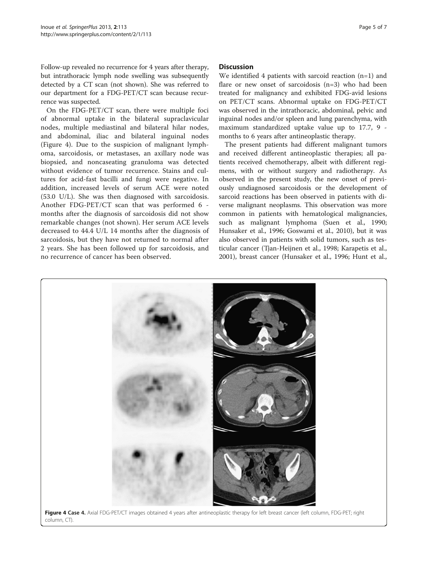Follow-up revealed no recurrence for 4 years after therapy, but intrathoracic lymph node swelling was subsequently detected by a CT scan (not shown). She was referred to our department for a FDG-PET/CT scan because recurrence was suspected.

On the FDG-PET/CT scan, there were multiple foci of abnormal uptake in the bilateral supraclavicular nodes, multiple mediastinal and bilateral hilar nodes, and abdominal, iliac and bilateral inguinal nodes (Figure 4). Due to the suspicion of malignant lymphoma, sarcoidosis, or metastases, an axillary node was biopsied, and noncaseating granuloma was detected without evidence of tumor recurrence. Stains and cultures for acid-fast bacilli and fungi were negative. In addition, increased levels of serum ACE were noted (53.0 U/L). She was then diagnosed with sarcoidosis. Another FDG-PET/CT scan that was performed 6 months after the diagnosis of sarcoidosis did not show remarkable changes (not shown). Her serum ACE levels decreased to 44.4 U/L 14 months after the diagnosis of sarcoidosis, but they have not returned to normal after 2 years. She has been followed up for sarcoidosis, and no recurrence of cancer has been observed.

#### **Discussion**

We identified 4 patients with sarcoid reaction (n=1) and flare or new onset of sarcoidosis (n=3) who had been treated for malignancy and exhibited FDG-avid lesions on PET/CT scans. Abnormal uptake on FDG-PET/CT was observed in the intrathoracic, abdominal, pelvic and inguinal nodes and/or spleen and lung parenchyma, with maximum standardized uptake value up to 17.7, 9 months to 6 years after antineoplastic therapy.

The present patients had different malignant tumors and received different antineoplastic therapies; all patients received chemotherapy, albeit with different regimens, with or without surgery and radiotherapy. As observed in the present study, the new onset of previously undiagnosed sarcoidosis or the development of sarcoid reactions has been observed in patients with diverse malignant neoplasms. This observation was more common in patients with hematological malignancies, such as malignant lymphoma (Suen et al., [1990](#page-6-0); Hunsaker et al., [1996;](#page-6-0) Goswami et al., [2010\)](#page-6-0), but it was also observed in patients with solid tumors, such as testicular cancer (Tjan-Heijnen et al., [1998](#page-6-0); Karapetis et al., [2001](#page-6-0)), breast cancer (Hunsaker et al., [1996;](#page-6-0) Hunt et al.,

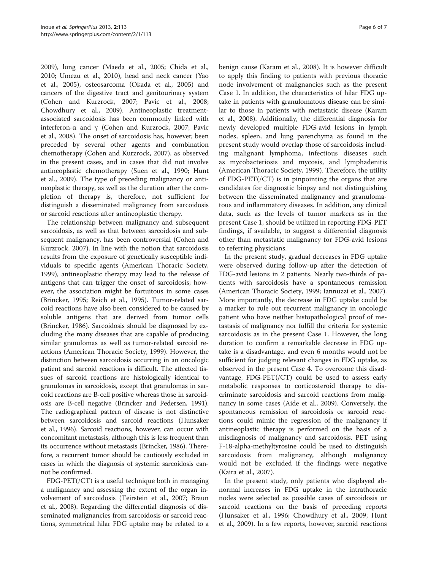[2009](#page-6-0)), lung cancer (Maeda et al., [2005;](#page-6-0) Chida et al., [2010](#page-6-0); Umezu et al., [2010](#page-6-0)), head and neck cancer (Yao et al., [2005](#page-6-0)), osteosarcoma (Okada et al., [2005](#page-6-0)) and cancers of the digestive tract and genitourinary system (Cohen and Kurzrock, [2007;](#page-6-0) Pavic et al., [2008](#page-6-0); Chowdhury et al., [2009\)](#page-6-0). Antineoplastic treatmentassociated sarcoidosis has been commonly linked with interferon-α and γ (Cohen and Kurzrock, [2007](#page-6-0); Pavic et al., [2008](#page-6-0)). The onset of sarcoidosis has, however, been preceded by several other agents and combination chemotherapy (Cohen and Kurzrock, [2007\)](#page-6-0), as observed in the present cases, and in cases that did not involve antineoplastic chemotherapy (Suen et al., [1990](#page-6-0); Hunt et al., [2009\)](#page-6-0). The type of preceding malignancy or antineoplastic therapy, as well as the duration after the completion of therapy is, therefore, not sufficient for distinguish a disseminated malignancy from sarcoidosis or sarcoid reactions after antineoplastic therapy.

The relationship between malignancy and subsequent sarcoidosis, as well as that between sarcoidosis and subsequent malignancy, has been controversial (Cohen and Kurzrock, [2007](#page-6-0)). In line with the notion that sarcoidosis results from the exposure of genetically susceptible individuals to specific agents (American Thoracic Society, [1999](#page-6-0)), antineoplastic therapy may lead to the release of antigens that can trigger the onset of sarcoidosis; however, the association might be fortuitous in some cases (Brincker, [1995](#page-6-0); Reich et al., [1995](#page-6-0)). Tumor-related sarcoid reactions have also been considered to be caused by soluble antigens that are derived from tumor cells (Brincker, [1986](#page-6-0)). Sarcoidosis should be diagnosed by excluding the many diseases that are capable of producing similar granulomas as well as tumor-related sarcoid reactions (American Thoracic Society, [1999](#page-6-0)). However, the distinction between sarcoidosis occurring in an oncologic patient and sarcoid reactions is difficult. The affected tissues of sarcoid reactions are histologically identical to granulomas in sarcoidosis, except that granulomas in sarcoid reactions are B-cell positive whereas those in sarcoidosis are B-cell negative (Brincker and Pedersen, [1991](#page-6-0)). The radiographical pattern of disease is not distinctive between sarcoidosis and sarcoid reactions (Hunsaker et al., [1996\)](#page-6-0). Sarcoid reactions, however, can occur with concomitant metastasis, although this is less frequent than its occurrence without metastasis (Brincker, [1986](#page-6-0)). Therefore, a recurrent tumor should be cautiously excluded in cases in which the diagnosis of systemic sarcoidosis cannot be confirmed.

FDG-PET(/CT) is a useful technique both in managing a malignancy and assessing the extent of the organ involvement of sarcoidosis (Teirstein et al., [2007;](#page-6-0) Braun et al., [2008\)](#page-6-0). Regarding the differential diagnosis of disseminated malignancies from sarcoidosis or sarcoid reactions, symmetrical hilar FDG uptake may be related to a

benign cause (Karam et al., [2008\)](#page-6-0). It is however difficult to apply this finding to patients with previous thoracic node involvement of malignancies such as the present Case 1. In addition, the characteristics of hilar FDG uptake in patients with granulomatous disease can be similar to those in patients with metastatic disease (Karam et al., [2008](#page-6-0)). Additionally, the differential diagnosis for newly developed multiple FDG-avid lesions in lymph nodes, spleen, and lung parenchyma as found in the present study would overlap those of sarcoidosis including malignant lymphoma, infectious diseases such as mycobacteriosis and mycosis, and lymphadenitis (American Thoracic Society, [1999\)](#page-6-0). Therefore, the utility of  $FDG-PET(\sqrt{CT})$  is in pinpointing the organs that are candidates for diagnostic biopsy and not distinguishing between the disseminated malignancy and granulomatous and inflammatory diseases. In addition, any clinical data, such as the levels of tumor markers as in the present Case 1, should be utilized in reporting FDG-PET findings, if available, to suggest a differential diagnosis other than metastatic malignancy for FDG-avid lesions to referring physicians.

In the present study, gradual decreases in FDG uptake were observed during follow-up after the detection of FDG-avid lesions in 2 patients. Nearly two-thirds of patients with sarcoidosis have a spontaneous remission (American Thoracic Society, [1999;](#page-6-0) Iannuzzi et al., [2007](#page-6-0)). More importantly, the decrease in FDG uptake could be a marker to rule out recurrent malignancy in oncologic patient who have neither histopathological proof of metastasis of malignancy nor fulfill the criteria for systemic sarcoidosis as in the present Case 1. However, the long duration to confirm a remarkable decrease in FDG uptake is a disadvantage, and even 6 months would not be sufficient for judging relevant changes in FDG uptake, as observed in the present Case 4. To overcome this disadvantage, FDG-PET(/CT) could be used to assess early metabolic responses to corticosteroid therapy to discriminate sarcoidosis and sarcoid reactions from malignancy in some cases (Aide et al., [2009\)](#page-6-0). Conversely, the spontaneous remission of sarcoidosis or sarcoid reactions could mimic the regression of the malignancy if antineoplastic therapy is performed on the basis of a misdiagnosis of malignancy and sarcoidosis. PET using F-18-alpha-methyltyrosine could be used to distinguish sarcoidosis from malignancy, although malignancy would not be excluded if the findings were negative (Kaira et al., [2007\)](#page-6-0).

In the present study, only patients who displayed abnormal increases in FDG uptake in the intrathoracic nodes were selected as possible cases of sarcoidosis or sarcoid reactions on the basis of preceding reports (Hunsaker et al., [1996](#page-6-0); Chowdhury et al., [2009;](#page-6-0) Hunt et al., [2009\)](#page-6-0). In a few reports, however, sarcoid reactions